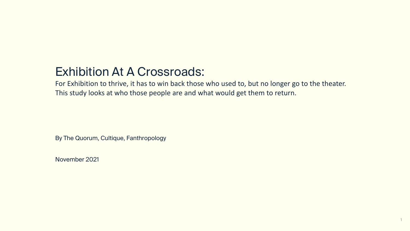# Exhibition At A Crossroads:

For Exhibition to thrive, it has to win back those who used to, but no longer go to the theater. This study looks at who those people are and what would get them to return.

By The Quorum, Cultique, Fanthropology

November 2021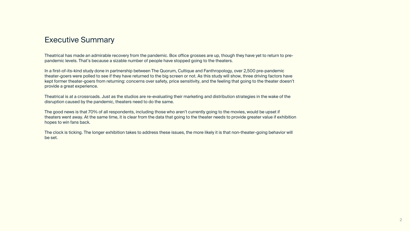#### Executive Summary

Theatrical has made an admirable recovery from the pandemic. Box office grosses are up, though they have yet to return to prepandemic levels. That's because a sizable number of people have stopped going to the theaters.

In a first-of-its-kind study done in partnership between The Quorum, Cultique and Fanthropology, over 2,500 pre-pandemic theater-goers were polled to see if they have returned to the big screen or not. As this study will show, three driving factors have kept former theater-goers from returning: concerns over safety, price sensitivity, and the feeling that going to the theater doesn't provide a great experience.

Theatrical is at a crossroads. Just as the studios are re-evaluating their marketing and distribution strategies in the wake of the disruption caused by the pandemic, theaters need to do the same.

The good news is that 70% of all respondents, including those who aren't currently going to the movies, would be upset if theaters went away. At the same time, it is clear from the data that going to the theater needs to provide greater value if exhibition hopes to win fans back.

The clock is ticking. The longer exhibition takes to address these issues, the more likely it is that non-theater-going behavior will be set.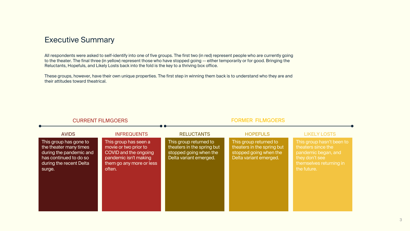#### Executive Summary

All respondents were asked to self-identify into one of five groups. The first two (in red) represent people who are currently going to the theater. The final three (in yellow) represent those who have stopped going -- either temporarily or for good. Bringing the Reluctants, Hopefuls, and Likely Losts back into the fold is the key to a thriving box office.

These groups, however, have their own unique properties. The first step in winning them back is to understand who they are and their attitudes toward theatrical.

| <b>CURRENT FILMGOERS</b>                                                                                                                   |                                                                                                                                        | <b>FORMER FILMGOERS</b>                                                                                  |                                                                                                          |                                                                                                                                    |  |
|--------------------------------------------------------------------------------------------------------------------------------------------|----------------------------------------------------------------------------------------------------------------------------------------|----------------------------------------------------------------------------------------------------------|----------------------------------------------------------------------------------------------------------|------------------------------------------------------------------------------------------------------------------------------------|--|
| <b>AVIDS</b>                                                                                                                               | <b>INFREQUENTS</b>                                                                                                                     | <b>RELUCTANTS</b>                                                                                        | <b>HOPEFULS</b>                                                                                          | <b>LIKELY LOSTS</b>                                                                                                                |  |
| This group has gone to<br>the theater many times<br>during the pandemic and<br>has continued to do so<br>during the recent Delta<br>surge. | This group has seen a<br>movie or two prior to<br>COVID and the ongoing<br>pandemic isn't making<br>them go any more or less<br>often. | This group returned to<br>theaters in the spring but<br>stopped going when the<br>Delta variant emerged. | This group returned to<br>theaters in the spring but<br>stopped going when the<br>Delta variant emerged. | This group hasn't been to<br>theaters since the<br>pandemic began, and<br>they don't see<br>themselves returning in<br>the future. |  |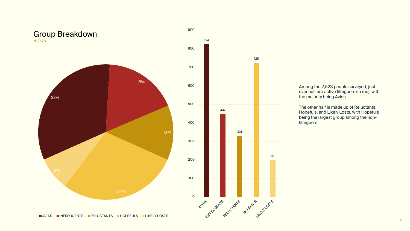

Among the 2,528 people surveyed, just over half are active filmgoers (in red), with the majority being Avids.

The other half is made up of Reluctants, Hopefuls, and Likely Losts, with Hopefuls being the largest group among the nonfilmgoers.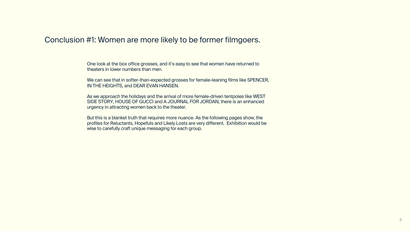#### Conclusion #1: Women are more likely to be former filmgoers.

One look at the box office grosses, and it's easy to see that women have returned to theaters in lower numbers than men.

We can see that in softer-than-expected grosses for female-leaning films like SPENCER, IN THE HEIGHTS, and DEAR EVAN HANSEN.

As we approach the holidays and the arrival of more female-driven tentpoles like WEST SIDE STORY, HOUSE OF GUCCI and A JOURNAL FOR JORDAN, there is an enhanced urgency in attracting women back to the theater.

But this is a blanket truth that requires more nuance. As the following pages show, the profiles for Reluctants, Hopefuls and Likely Losts are very different. Exhibition would be wise to carefully craft unique messaging for each group.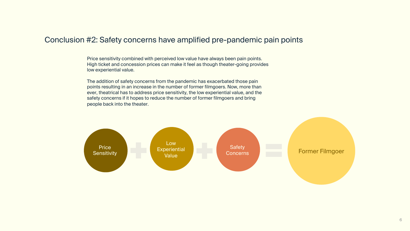#### Conclusion #2: Safety concerns have amplified pre-pandemic pain points

Price sensitivity combined with perceived low value have always been pain points. High ticket and concession prices can make it feel as though theater-going provides low experiential value.

The addition of safety concerns from the pandemic has exacerbated those pain points resulting in an increase in the number of former filmgoers. Now, more than ever, theatrical has to address price sensitivity, the low experiential value, and the safety concerns if it hopes to reduce the number of former filmgoers and bring people back into the theater.

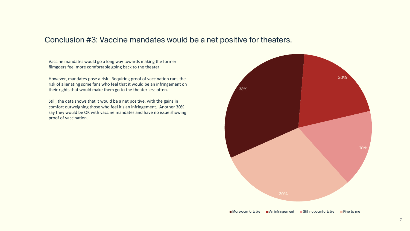#### Conclusion #3: Vaccine mandates would be a net positive for theaters.

Vaccine mandates would go a long way towards making the former filmgoers feel more comfortable going back to the theater.

However, mandates pose a risk. Requiring proof of vaccination runs the risk of alienating some fans who feel that it would be an infringement on their rights that would make them go to the theater less often.

Still, the data shows that it would be a net positive, with the gains in comfort outweighing those who feel it's an infringement. Another 30% say they would be OK with vaccine mandates and have no issue showing proof of vaccination.

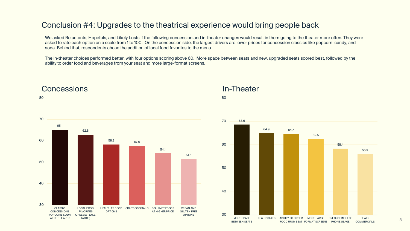#### Conclusion #4: Upgrades to the theatrical experience would bring people back

We asked Reluctants, Hopefuls, and Likely Losts if the following concession and in-theater changes would result in them going to the theater more often. They were asked to rate each option on a scale from 1 to 100. On the concession side, the largest drivers are lower prices for concession classics like popcorn, candy, and soda. Behind that, respondents chose the addition of local food favorites to the menu.

The in-theater choices performed better, with four options scoring above 60. More space between seats and new, upgraded seats scored best, followed by the ability to order food and beverages from your seat and more large-format screens.





#### **Concessions**



# In-Theater

80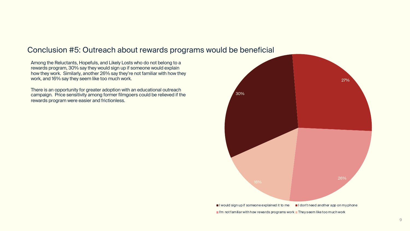## Conclusion #5: Outreach about rewards programs would be beneficial

Among the Reluctants, Hopefuls, and Likely Losts who do not belong to a rewards program, 30% say they would sign up if someone would explain how they work. Similarly, another 26% say they're not familiar with how they work, and 16% say they seem like too much work.

There is an opportunity for greater adoption with an educational outreach campaign. Price sensitivity among former filmgoers could be relieved if the rewards program were easier and frictionless.

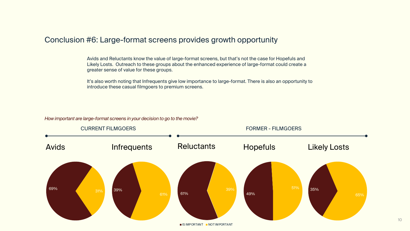#### Conclusion #6: Large-format screens provides growth opportunity

Avids and Reluctants know the value of large-format screens, but that's not the case for Hopefuls and Likely Losts. Outreach to these groups about the enhanced experience of large-format could create a greater sense of value for these groups.

It's also worth noting that Infrequents give low importance to large-format. There is also an opportunity to introduce these casual filmgoers to premium screens.

*How important are large-format screens in your decision to go to the movie?*



**IS IMPORTANT INO TIMPORTANT**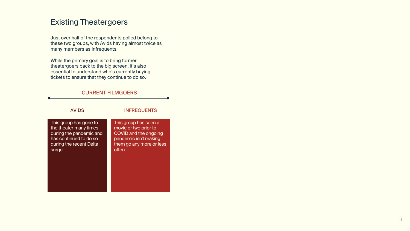#### Existing Theatergoers

Just over half of the respondents polled belong to these two groups, with Avids having almost twice as many members as Infrequents.

While the primary goal is to bring former theatergoers back to the big screen, it's also essential to understand who's currently buying tickets to ensure that they continue to do so.

#### CURRENT FILMGOERS

| <b>AVIDS</b>            | <b>INFREQUENTS</b>       |  |  |
|-------------------------|--------------------------|--|--|
| This group has gone to  | This group has seen a    |  |  |
| the theater many times  | movie or two prior to    |  |  |
| during the pandemic and | COVID and the ongoing    |  |  |
| has continued to do so  | pandemic isn't making    |  |  |
| during the recent Delta | them go any more or less |  |  |
| surge.                  | often.                   |  |  |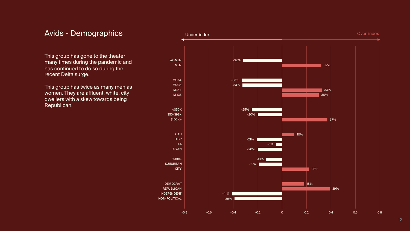#### Avids - Demographics

This group has gone to the theater many times during the pandemic and has continued to do so during the recent Delta surge.

This group has twice as many men as women. They are affluent, white, city dwellers with a skew towards being Republican.

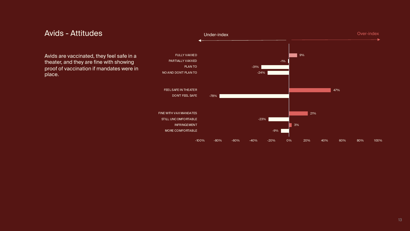

#### Avids - Attitudes

Avids are vaccinated, they feel safe in a theater, and they are fine with showing proof of vaccination if mandates were in place.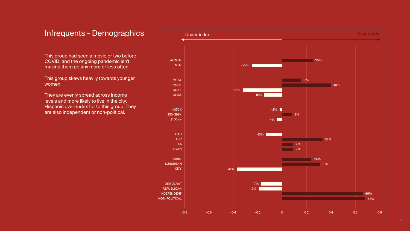#### Infrequents - Demographics

This group had seen a movie or two before COVID, and the ongoing pandemic isn't making them go any more or less often.

This group skews heavily towards younger women.

They are evenly spread across income levels and more likely to live in the city. Hispanic over-index for to this group. They are also independent or non-political.

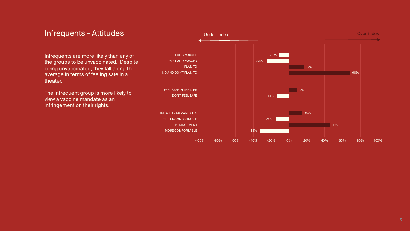#### Infrequents - Attitudes

Infrequents are more likely than any of the groups to be unvaccinated. Despite being unvaccinated, they fall along the average in terms of feeling safe in a theater.

The Infrequent group is more likely to view a vaccine mandate as an infringement on their rights.

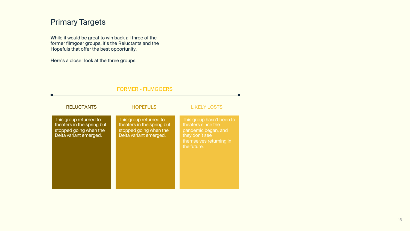## Primary Targets

While it would be great to win back all three of the former filmgoer groups, it's the Reluctants and the Hopefuls that offer the best opportunity.

Here's a closer look at the three groups.

| <b>FORMER - FILMGOERS</b>                                                                                |                                                                                                          |                                                                                                                                    |  |  |  |  |  |
|----------------------------------------------------------------------------------------------------------|----------------------------------------------------------------------------------------------------------|------------------------------------------------------------------------------------------------------------------------------------|--|--|--|--|--|
| <b>RELUCTANTS</b>                                                                                        | <b>HOPEFULS</b>                                                                                          | <b>LIKELY LOSTS</b>                                                                                                                |  |  |  |  |  |
| This group returned to<br>theaters in the spring but<br>stopped going when the<br>Delta variant emerged. | This group returned to<br>theaters in the spring but<br>stopped going when the<br>Delta variant emerged. | This group hasn't been to<br>theaters since the<br>pandemic began, and<br>they don't see<br>themselves returning in<br>the future. |  |  |  |  |  |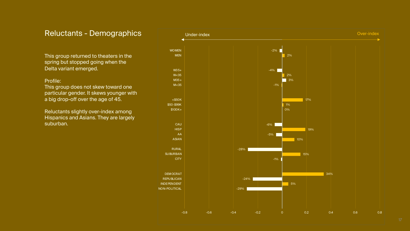#### Reluctants - Demographics

This group returned to theaters in the spring but stopped going when the Delta variant emerged.

#### Profile:

This group does not skew toward one particular gender. It skews younger with a big drop-off over the age of 45.

Reluctants slightly over-index among Hispanics and Asians. They are largely suburban.

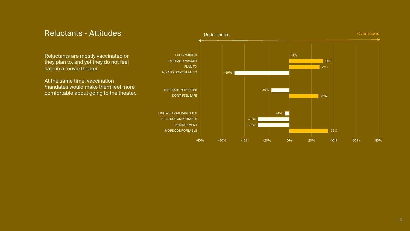

#### Reluctants - Attitudes

Reluctants are mostly vaccinated or they plan to, and yet they do not feel safe in a movie theater.

At the same time, vaccination mandates would make them feel more comfortable about going to the theater.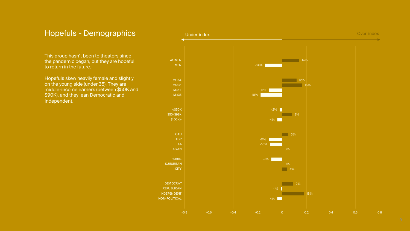## Hopefuls - Demographics

This group hasn't been to theaters since the pandemic began, but they are hopeful to return in the future.

Hopefuls skew heavily female and slightly on the young side (under 35). They are middle-income earners (between \$50K and \$90K), and they lean Democratic and Independent.

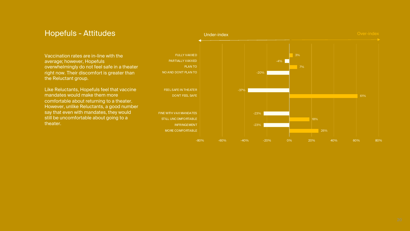

#### Hopefuls - Attitudes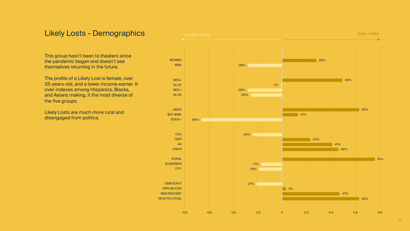### Likely Losts - Demographics

This group hasn't been to theaters since the pandemic began and doesn't see themselves returning in the future.

The profile of a Likely Lost is female, over 35-years-old, and a lower-income earner. It over-indexes among Hispanics, Blacks, and Asians making, it the most diverse of the five groups.

Likely Losts are much more rural and disengaged from politics.

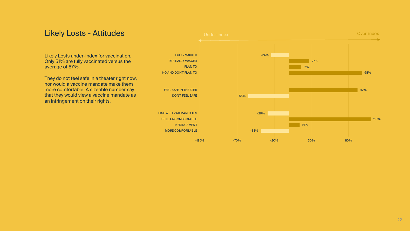#### Likely Losts - Attitudes

Likely Losts under-index for vaccination. Only 51% are fully vaccinated versus the average of 67%.

They do not feel safe in a theater right now, nor would a vaccine mandate make them more comfortable. A sizeable number say that they would view a vaccine mandate as an infringement on their rights.